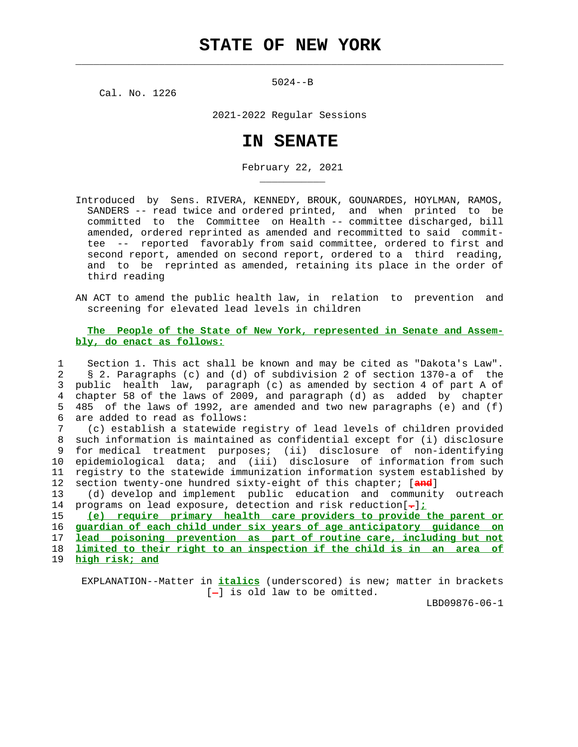$\mathcal{L}_\text{max} = \frac{1}{2} \sum_{i=1}^{n} \frac{1}{2} \sum_{i=1}^{n} \frac{1}{2} \sum_{i=1}^{n} \frac{1}{2} \sum_{i=1}^{n} \frac{1}{2} \sum_{i=1}^{n} \frac{1}{2} \sum_{i=1}^{n} \frac{1}{2} \sum_{i=1}^{n} \frac{1}{2} \sum_{i=1}^{n} \frac{1}{2} \sum_{i=1}^{n} \frac{1}{2} \sum_{i=1}^{n} \frac{1}{2} \sum_{i=1}^{n} \frac{1}{2} \sum_{i=1}^{n} \frac{1$ 

5024--B

Cal. No. 1226

\_\_\_\_\_\_\_\_\_\_\_

2021-2022 Regular Sessions

## **IN SENATE**

February 22, 2021

- Introduced by Sens. RIVERA, KENNEDY, BROUK, GOUNARDES, HOYLMAN, RAMOS, SANDERS -- read twice and ordered printed, and when printed to be committed to the Committee on Health -- committee discharged, bill amended, ordered reprinted as amended and recommitted to said commit tee -- reported favorably from said committee, ordered to first and second report, amended on second report, ordered to a third reading, and to be reprinted as amended, retaining its place in the order of third reading
- AN ACT to amend the public health law, in relation to prevention and screening for elevated lead levels in children

## **The People of the State of New York, represented in Senate and Assem bly, do enact as follows:**

 1 Section 1. This act shall be known and may be cited as "Dakota's Law". 2 § 2. Paragraphs (c) and (d) of subdivision 2 of section 1370-a of the 3 public health law, paragraph (c) as amended by section 4 of part A of 4 chapter 58 of the laws of 2009, and paragraph (d) as added by chapter 5 485 of the laws of 1992, are amended and two new paragraphs (e) and (f) 6 are added to read as follows:

 7 (c) establish a statewide registry of lead levels of children provided 8 such information is maintained as confidential except for (i) disclosure 9 for medical treatment purposes; (ii) disclosure of non-identifying 10 epidemiological data; and (iii) disclosure of information from such 11 registry to the statewide immunization information system established by 12 section twenty-one hundred sixty-eight of this chapter; [**and**]

 13 (d) develop and implement public education and community outreach 14 programs on lead exposure, detection and risk reduction[**.**]**;**

**(e) require primary health care providers to provide the parent or guardian of each child under six years of age anticipatory guidance on lead poisoning prevention as part of routine care, including but not limited to their right to an inspection if the child is in an area of high risk; and**

 EXPLANATION--Matter in **italics** (underscored) is new; matter in brackets  $[-]$  is old law to be omitted.

LBD09876-06-1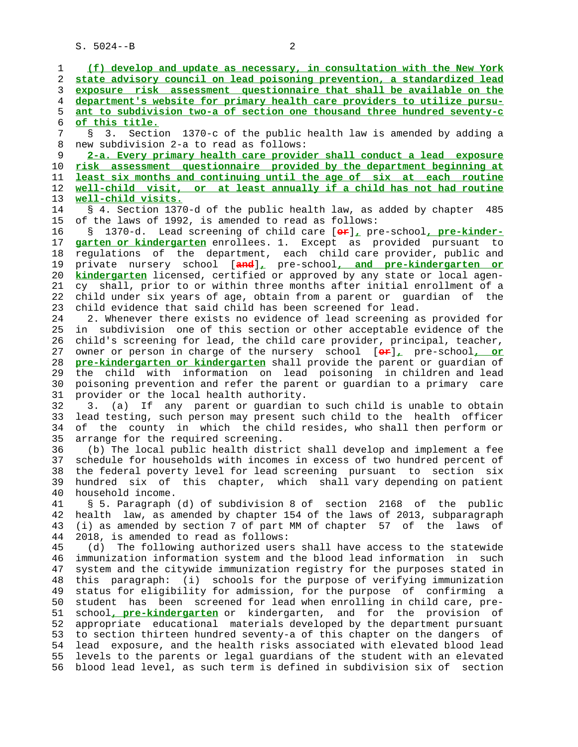S. 5024--B 2

 1 **(f) develop and update as necessary, in consultation with the New York** 2 **state advisory council on lead poisoning prevention, a standardized lead** 3 **exposure risk assessment questionnaire that shall be available on the** 4 **department's website for primary health care providers to utilize pursu-** 5 **ant to subdivision two-a of section one thousand three hundred seventy-c** 6 **of this title.** 7 § 3. Section 1370-c of the public health law is amended by adding a 8 new subdivision 2-a to read as follows:<br>9 2-a. Every primary health care provid 9 **2-a. Every primary health care provider shall conduct a lead exposure** 10 **risk assessment questionnaire provided by the department beginning at** 11 **least six months and continuing until the age of six at each routine** 12 **well-child visit, or at least annually if a child has not had routine** 13 **well-child visits.** 14 § 4. Section 1370-d of the public health law, as added by chapter 485 15 of the laws of 1992, is amended to read as follows: 16 § 1370-d. Lead screening of child care [**or**]**,** pre-school**, pre-kinder-** 17 **garten or kindergarten** enrollees. 1. Except as provided pursuant to 18 regulations of the department, each child care provider, public and 19 private nursery school [**and**]**,** pre-school**, and pre-kindergarten or** 20 **kindergarten** licensed, certified or approved by any state or local agen- 21 cy shall, prior to or within three months after initial enrollment of a 22 child under six years of age, obtain from a parent or guardian of the 23 child evidence that said child has been screened for lead. 24 2. Whenever there exists no evidence of lead screening as provided for 25 in subdivision one of this section or other acceptable evidence of the 26 child's screening for lead, the child care provider, principal, teacher, 27 owner or person in charge of the nursery school [**or**]**,** pre-school**, or** 28 **pre-kindergarten or kindergarten** shall provide the parent or guardian of 29 the child with information on lead poisoning in children and lead 30 poisoning prevention and refer the parent or guardian to a primary care 31 provider or the local health authority. 32 3. (a) If any parent or guardian to such child is unable to obtain 33 lead testing, such person may present such child to the health officer 34 of the county in which the child resides, who shall then perform or 35 arrange for the required screening. 36 (b) The local public health district shall develop and implement a fee 37 schedule for households with incomes in excess of two hundred percent of 38 the federal poverty level for lead screening pursuant to section six 39 hundred six of this chapter, which shall vary depending on patient 40 household income. 41 § 5. Paragraph (d) of subdivision 8 of section 2168 of the public 42 health law, as amended by chapter 154 of the laws of 2013, subparagraph 43 (i) as amended by section 7 of part MM of chapter 57 of the laws of 44 2018, is amended to read as follows: 45 (d) The following authorized users shall have access to the statewide 46 immunization information system and the blood lead information in such 47 system and the citywide immunization registry for the purposes stated in 48 this paragraph: (i) schools for the purpose of verifying immunization 49 status for eligibility for admission, for the purpose of confirming a 50 student has been screened for lead when enrolling in child care, pre- 51 school**, pre-kindergarten** or kindergarten, and for the provision of 52 appropriate educational materials developed by the department pursuant 53 to section thirteen hundred seventy-a of this chapter on the dangers of 54 lead exposure, and the health risks associated with elevated blood lead 55 levels to the parents or legal guardians of the student with an elevated 56 blood lead level, as such term is defined in subdivision six of section